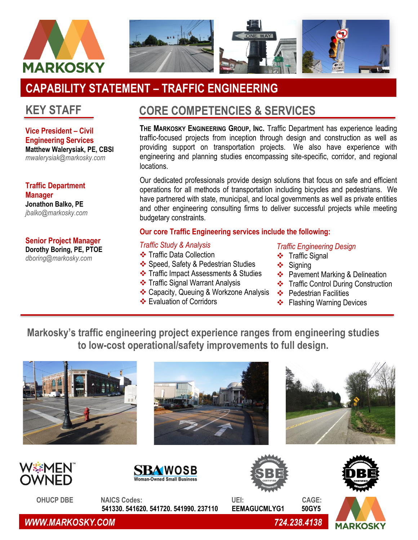

# **CAPABILITY STATEMENT – TRAFFIC ENGINEERING**

# **KEY STAFF**

**Vice President – Civil Engineering Services Matthew Walerysiak, PE, CBSI** *mwalerysiak@markosky.com*

**Traffic Department Manager Jonathon Balko, PE** *jbalko@markosky.com*

**Senior Project Manager Dorothy Boring, PE, PTOE**

*dboring@markosky.com*

# **CORE COMPETENCIES & SERVICES**

**THE MARKOSKY ENGINEERING GROUP, INC.** Traffic Department has experience leading traffic-focused projects from inception through design and construction as well as providing support on transportation projects. We also have experience with engineering and planning studies encompassing site-specific, corridor, and regional locations.

Our dedicated professionals provide design solutions that focus on safe and efficient operations for all methods of transportation including bicycles and pedestrians. We have partnered with state, municipal, and local governments as well as private entities and other engineering consulting firms to deliver successful projects while meeting budgetary constraints.

### **Our core Traffic Engineering services include the following:**

#### *Traffic Study & Analysis*

- ❖ Traffic Data Collection
- ❖ Speed, Safety & Pedestrian Studies
- ❖ Traffic Impact Assessments & Studies
- ❖ Traffic Signal Warrant Analysis
- ❖ Capacity, Queuing & Workzone Analysis
- ❖ Evaluation of Corridors

#### *Traffic Engineering Design*

- ❖ Traffic Signal
- ❖ Signing
- ❖ Pavement Marking & Delineation
- ❖ Traffic Control During Construction
- ❖ Pedestrian Facilities
- ❖ Flashing Warning Devices

**Markosky's traffic engineering project experience ranges from engineering studies to low-cost operational/safety improvements to full design.**













 **OHUCP DBE NAICS Codes: UEI: CAGE: 541330. 541620, 541720. 541990, 237110 EEMAGUCMLYG1 50GY5** 



 *WWW.MARKOSKY.COM 724.238.4138*